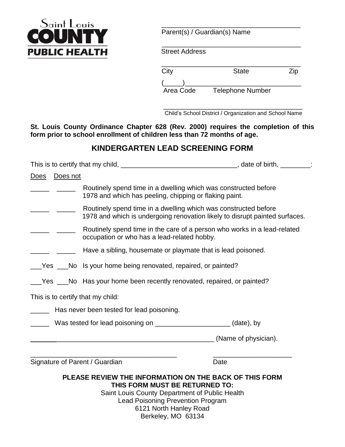

Parent(s) / Guardian(s) Name

 $\overline{\phantom{a}}$  ,  $\overline{\phantom{a}}$  ,  $\overline{\phantom{a}}$  ,  $\overline{\phantom{a}}$  ,  $\overline{\phantom{a}}$  ,  $\overline{\phantom{a}}$  ,  $\overline{\phantom{a}}$  ,  $\overline{\phantom{a}}$  ,  $\overline{\phantom{a}}$  ,  $\overline{\phantom{a}}$  ,  $\overline{\phantom{a}}$  ,  $\overline{\phantom{a}}$  ,  $\overline{\phantom{a}}$  ,  $\overline{\phantom{a}}$  ,  $\overline{\phantom{a}}$  ,  $\overline{\phantom{a}}$ 

Street Address

| City | <b>State</b> |  |
|------|--------------|--|
|      |              |  |

Area Code Telephone Number

 $\frac{1}{\sqrt{2}}$  ,  $\frac{1}{\sqrt{2}}$  ,  $\frac{1}{\sqrt{2}}$  ,  $\frac{1}{\sqrt{2}}$  ,  $\frac{1}{\sqrt{2}}$  ,  $\frac{1}{\sqrt{2}}$  ,  $\frac{1}{\sqrt{2}}$  ,  $\frac{1}{\sqrt{2}}$  ,  $\frac{1}{\sqrt{2}}$  ,  $\frac{1}{\sqrt{2}}$  ,  $\frac{1}{\sqrt{2}}$  ,  $\frac{1}{\sqrt{2}}$  ,  $\frac{1}{\sqrt{2}}$  ,  $\frac{1}{\sqrt{2}}$  ,  $\frac{1}{\sqrt{2}}$ Child's School District / Organization and School Name

**St. Louis County Ordinance Chapter 628 (Rev. 2000) requires the completion of this form prior to school enrollment of children less than 72 months of age.**

# **KINDERGARTEN LEAD SCREENING FORM**

|                                                                            | This is to certify that my child, __________________________________, date of birth, ________:                                                 |  |  |
|----------------------------------------------------------------------------|------------------------------------------------------------------------------------------------------------------------------------------------|--|--|
| Does not<br><u>Does</u>                                                    |                                                                                                                                                |  |  |
|                                                                            | Routinely spend time in a dwelling which was constructed before<br>1978 and which has peeling, chipping or flaking paint.                      |  |  |
|                                                                            | Routinely spend time in a dwelling which was constructed before<br>1978 and which is undergoing renovation likely to disrupt painted surfaces. |  |  |
|                                                                            | Routinely spend time in the care of a person who works in a lead-related<br>occupation or who has a lead-related hobby.                        |  |  |
|                                                                            | Have a sibling, housemate or playmate that is lead poisoned.                                                                                   |  |  |
|                                                                            | Yes ___No ls your home being renovated, repaired, or painted?                                                                                  |  |  |
|                                                                            | Yes ___No Has your home been recently renovated, repaired, or painted?                                                                         |  |  |
| This is to certify that my child:                                          |                                                                                                                                                |  |  |
|                                                                            | Has never been tested for lead poisoning.                                                                                                      |  |  |
| Was tested for lead poisoning on _______________________________(date), by |                                                                                                                                                |  |  |
|                                                                            | (Name of physician).                                                                                                                           |  |  |
|                                                                            |                                                                                                                                                |  |  |

Signature of Parent / Guardian Date Date

## **PLEASE REVIEW THE INFORMATION ON THE BACK OF THIS FORM THIS FORM MUST BE RETURNED TO:**

Saint Louis County Department of Public Health Lead Poisoning Prevention Program 6121 North Hanley Road Berkeley, MO 63134